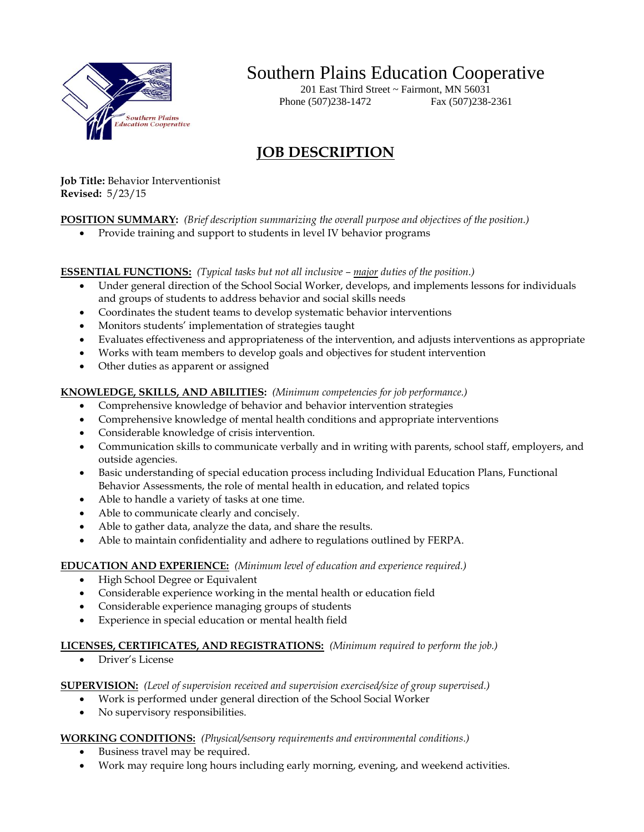

# Southern Plains Education Cooperative

201 East Third Street  $\sim$  Fairmont, MN 56031 Phone (507)238-1472 Fax (507)238-2361

## **JOB DESCRIPTION**

**Job Title:** Behavior Interventionist **Revised:** 5/23/15

### **POSITION SUMMARY:** *(Brief description summarizing the overall purpose and objectives of the position.)*

• Provide training and support to students in level IV behavior programs

**ESSENTIAL FUNCTIONS:** (Typical tasks but not all inclusive *– major duties of the position.*)

- Under general direction of the School Social Worker, develops, and implements lessons for individuals and groups of students to address behavior and social skills needs
- Coordinates the student teams to develop systematic behavior interventions
- Monitors students' implementation of strategies taught
- Evaluates effectiveness and appropriateness of the intervention, and adjusts interventions as appropriate
- Works with team members to develop goals and objectives for student intervention
- Other duties as apparent or assigned

#### **KNOWLEDGE, SKILLS, AND ABILITIES:** *(Minimum competencies for job performance.)*

- Comprehensive knowledge of behavior and behavior intervention strategies
- Comprehensive knowledge of mental health conditions and appropriate interventions
- Considerable knowledge of crisis intervention.
- Communication skills to communicate verbally and in writing with parents, school staff, employers, and outside agencies.
- Basic understanding of special education process including Individual Education Plans, Functional Behavior Assessments, the role of mental health in education, and related topics
- Able to handle a variety of tasks at one time.
- Able to communicate clearly and concisely.
- Able to gather data, analyze the data, and share the results.
- Able to maintain confidentiality and adhere to regulations outlined by FERPA.

#### **EDUCATION AND EXPERIENCE:** *(Minimum level of education and experience required.)*

- High School Degree or Equivalent
- Considerable experience working in the mental health or education field
- Considerable experience managing groups of students
- Experience in special education or mental health field

#### **LICENSES, CERTIFICATES, AND REGISTRATIONS:** *(Minimum required to perform the job.)*

Driver's License

#### **SUPERVISION:** *(Level of supervision received and supervision exercised/size of group supervised.)*

- Work is performed under general direction of the School Social Worker
- No supervisory responsibilities.

#### **WORKING CONDITIONS:** *(Physical/sensory requirements and environmental conditions.)*

- Business travel may be required.
- Work may require long hours including early morning, evening, and weekend activities.